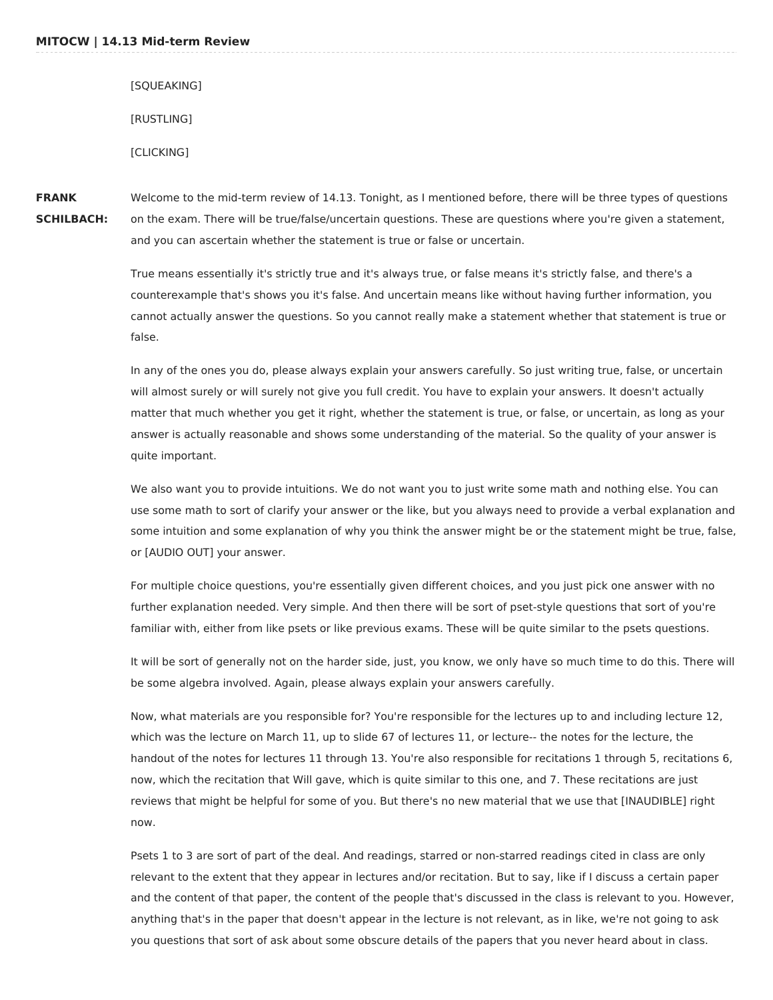[SQUEAKING] [RUSTLING] [CLICKING]

**FRANK SCHILBACH:** Welcome to the mid-term review of 14.13. Tonight, as I mentioned before, there will be three types of questions on the exam. There will be true/false/uncertain questions. These are questions where you're given a statement, and you can ascertain whether the statement is true or false or uncertain.

> True means essentially it's strictly true and it's always true, or false means it's strictly false, and there's a counterexample that's shows you it's false. And uncertain means like without having further information, you cannot actually answer the questions. So you cannot really make a statement whether that statement is true or false.

> In any of the ones you do, please always explain your answers carefully. So just writing true, false, or uncertain will almost surely or will surely not give you full credit. You have to explain your answers. It doesn't actually matter that much whether you get it right, whether the statement is true, or false, or uncertain, as long as your answer is actually reasonable and shows some understanding of the material. So the quality of your answer is quite important.

We also want you to provide intuitions. We do not want you to just write some math and nothing else. You can use some math to sort of clarify your answer or the like, but you always need to provide a verbal explanation and some intuition and some explanation of why you think the answer might be or the statement might be true, false, or [AUDIO OUT] your answer.

For multiple choice questions, you're essentially given different choices, and you just pick one answer with no further explanation needed. Very simple. And then there will be sort of pset-style questions that sort of you're familiar with, either from like psets or like previous exams. These will be quite similar to the psets questions.

It will be sort of generally not on the harder side, just, you know, we only have so much time to do this. There will be some algebra involved. Again, please always explain your answers carefully.

Now, what materials are you responsible for? You're responsible for the lectures up to and including lecture 12, which was the lecture on March 11, up to slide 67 of lectures 11, or lecture-- the notes for the lecture, the handout of the notes for lectures 11 through 13. You're also responsible for recitations 1 through 5, recitations 6, now, which the recitation that Will gave, which is quite similar to this one, and 7. These recitations are just reviews that might be helpful for some of you. But there's no new material that we use that [INAUDIBLE] right now.

Psets 1 to 3 are sort of part of the deal. And readings, starred or non-starred readings cited in class are only relevant to the extent that they appear in lectures and/or recitation. But to say, like if I discuss a certain paper and the content of that paper, the content of the people that's discussed in the class is relevant to you. However, anything that's in the paper that doesn't appear in the lecture is not relevant, as in like, we're not going to ask you questions that sort of ask about some obscure details of the papers that you never heard about in class.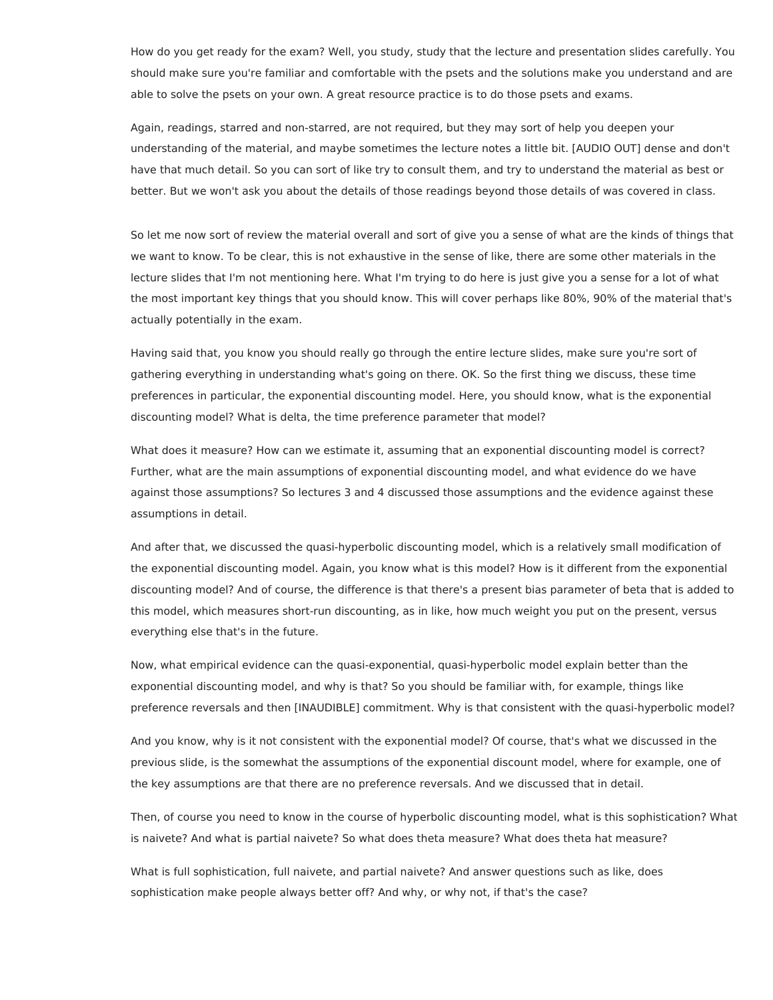How do you get ready for the exam? Well, you study, study that the lecture and presentation slides carefully. You should make sure you're familiar and comfortable with the psets and the solutions make you understand and are able to solve the psets on your own. A great resource practice is to do those psets and exams.

Again, readings, starred and non-starred, are not required, but they may sort of help you deepen your understanding of the material, and maybe sometimes the lecture notes a little bit. [AUDIO OUT] dense and don't have that much detail. So you can sort of like try to consult them, and try to understand the material as best or better. But we won't ask you about the details of those readings beyond those details of was covered in class.

So let me now sort of review the material overall and sort of give you a sense of what are the kinds of things that we want to know. To be clear, this is not exhaustive in the sense of like, there are some other materials in the lecture slides that I'm not mentioning here. What I'm trying to do here is just give you a sense for a lot of what the most important key things that you should know. This will cover perhaps like 80%, 90% of the material that's actually potentially in the exam.

Having said that, you know you should really go through the entire lecture slides, make sure you're sort of gathering everything in understanding what's going on there. OK. So the first thing we discuss, these time preferences in particular, the exponential discounting model. Here, you should know, what is the exponential discounting model? What is delta, the time preference parameter that model?

What does it measure? How can we estimate it, assuming that an exponential discounting model is correct? Further, what are the main assumptions of exponential discounting model, and what evidence do we have against those assumptions? So lectures 3 and 4 discussed those assumptions and the evidence against these assumptions in detail.

And after that, we discussed the quasi-hyperbolic discounting model, which is a relatively small modification of the exponential discounting model. Again, you know what is this model? How is it different from the exponential discounting model? And of course, the difference is that there's a present bias parameter of beta that is added to this model, which measures short-run discounting, as in like, how much weight you put on the present, versus everything else that's in the future.

Now, what empirical evidence can the quasi-exponential, quasi-hyperbolic model explain better than the exponential discounting model, and why is that? So you should be familiar with, for example, things like preference reversals and then [INAUDIBLE] commitment. Why is that consistent with the quasi-hyperbolic model?

And you know, why is it not consistent with the exponential model? Of course, that's what we discussed in the previous slide, is the somewhat the assumptions of the exponential discount model, where for example, one of the key assumptions are that there are no preference reversals. And we discussed that in detail.

Then, of course you need to know in the course of hyperbolic discounting model, what is this sophistication? What is naivete? And what is partial naivete? So what does theta measure? What does theta hat measure?

What is full sophistication, full naivete, and partial naivete? And answer questions such as like, does sophistication make people always better off? And why, or why not, if that's the case?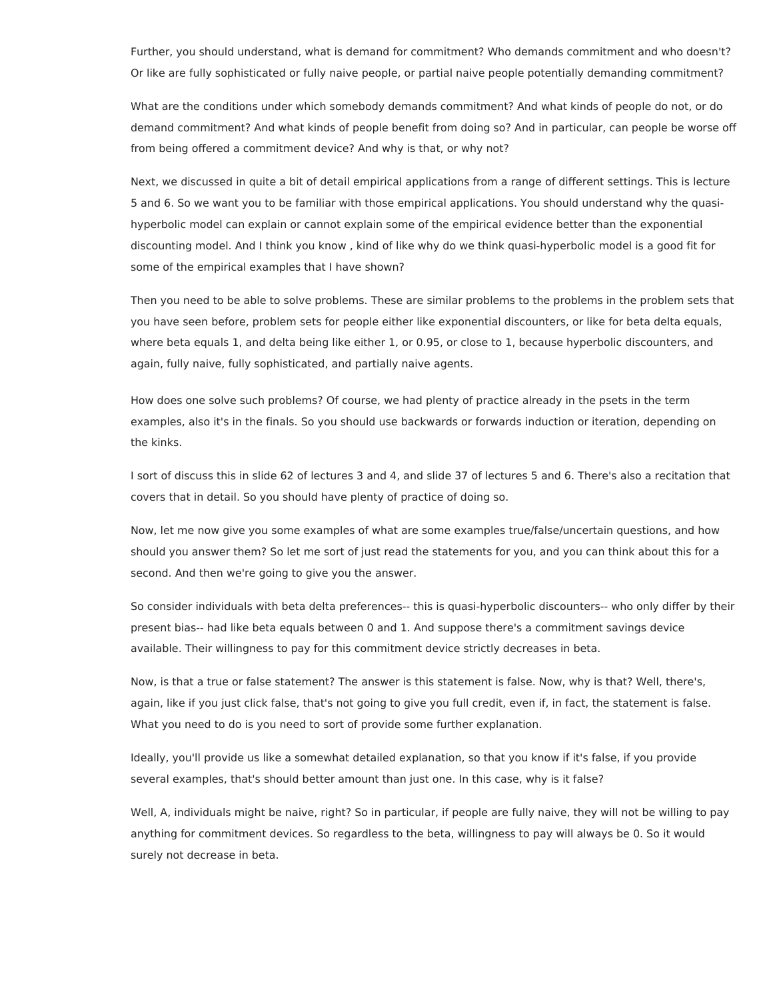Further, you should understand, what is demand for commitment? Who demands commitment and who doesn't? Or like are fully sophisticated or fully naive people, or partial naive people potentially demanding commitment?

What are the conditions under which somebody demands commitment? And what kinds of people do not, or do demand commitment? And what kinds of people benefit from doing so? And in particular, can people be worse off from being offered a commitment device? And why is that, or why not?

Next, we discussed in quite a bit of detail empirical applications from a range of different settings. This is lecture 5 and 6. So we want you to be familiar with those empirical applications. You should understand why the quasihyperbolic model can explain or cannot explain some of the empirical evidence better than the exponential discounting model. And I think you know , kind of like why do we think quasi-hyperbolic model is a good fit for some of the empirical examples that I have shown?

Then you need to be able to solve problems. These are similar problems to the problems in the problem sets that you have seen before, problem sets for people either like exponential discounters, or like for beta delta equals, where beta equals 1, and delta being like either 1, or 0.95, or close to 1, because hyperbolic discounters, and again, fully naive, fully sophisticated, and partially naive agents.

How does one solve such problems? Of course, we had plenty of practice already in the psets in the term examples, also it's in the finals. So you should use backwards or forwards induction or iteration, depending on the kinks.

I sort of discuss this in slide 62 of lectures 3 and 4, and slide 37 of lectures 5 and 6. There's also a recitation that covers that in detail. So you should have plenty of practice of doing so.

Now, let me now give you some examples of what are some examples true/false/uncertain questions, and how should you answer them? So let me sort of just read the statements for you, and you can think about this for a second. And then we're going to give you the answer.

So consider individuals with beta delta preferences-- this is quasi-hyperbolic discounters-- who only differ by their present bias-- had like beta equals between 0 and 1. And suppose there's a commitment savings device available. Their willingness to pay for this commitment device strictly decreases in beta.

Now, is that a true or false statement? The answer is this statement is false. Now, why is that? Well, there's, again, like if you just click false, that's not going to give you full credit, even if, in fact, the statement is false. What you need to do is you need to sort of provide some further explanation.

Ideally, you'll provide us like a somewhat detailed explanation, so that you know if it's false, if you provide several examples, that's should better amount than just one. In this case, why is it false?

Well, A, individuals might be naive, right? So in particular, if people are fully naive, they will not be willing to pay anything for commitment devices. So regardless to the beta, willingness to pay will always be 0. So it would surely not decrease in beta.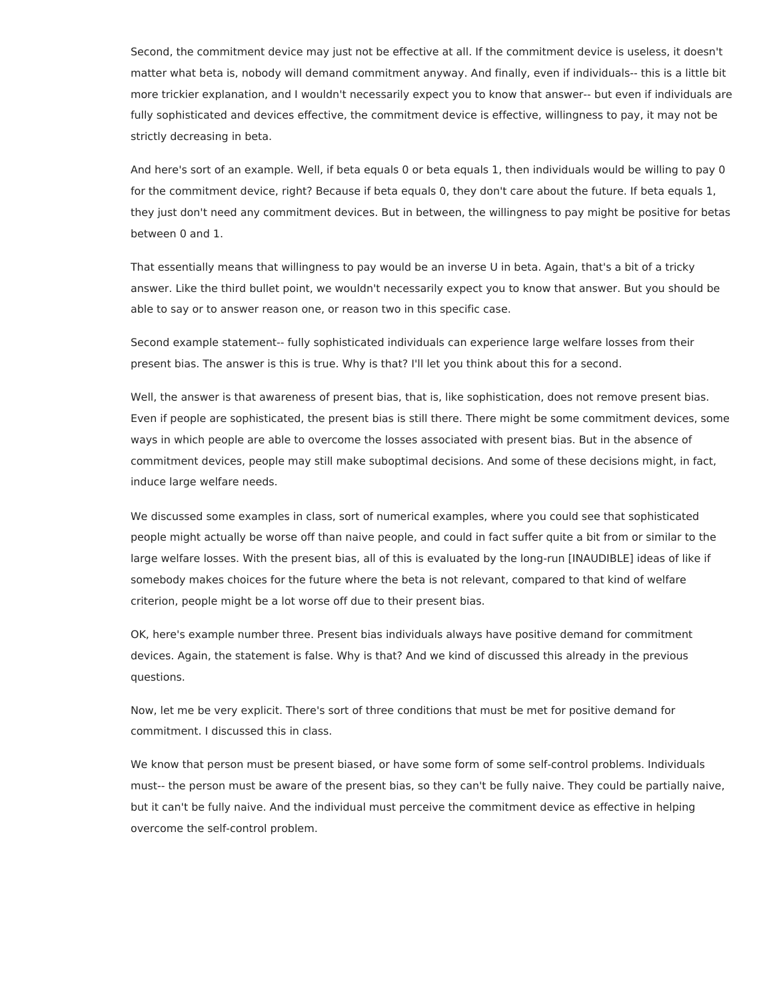Second, the commitment device may just not be effective at all. If the commitment device is useless, it doesn't matter what beta is, nobody will demand commitment anyway. And finally, even if individuals-- this is a little bit more trickier explanation, and I wouldn't necessarily expect you to know that answer-- but even if individuals are fully sophisticated and devices effective, the commitment device is effective, willingness to pay, it may not be strictly decreasing in beta.

And here's sort of an example. Well, if beta equals 0 or beta equals 1, then individuals would be willing to pay 0 for the commitment device, right? Because if beta equals 0, they don't care about the future. If beta equals 1, they just don't need any commitment devices. But in between, the willingness to pay might be positive for betas between 0 and 1.

That essentially means that willingness to pay would be an inverse U in beta. Again, that's a bit of a tricky answer. Like the third bullet point, we wouldn't necessarily expect you to know that answer. But you should be able to say or to answer reason one, or reason two in this specific case.

Second example statement-- fully sophisticated individuals can experience large welfare losses from their present bias. The answer is this is true. Why is that? I'll let you think about this for a second.

Well, the answer is that awareness of present bias, that is, like sophistication, does not remove present bias. Even if people are sophisticated, the present bias is still there. There might be some commitment devices, some ways in which people are able to overcome the losses associated with present bias. But in the absence of commitment devices, people may still make suboptimal decisions. And some of these decisions might, in fact, induce large welfare needs.

We discussed some examples in class, sort of numerical examples, where you could see that sophisticated people might actually be worse off than naive people, and could in fact suffer quite a bit from or similar to the large welfare losses. With the present bias, all of this is evaluated by the long-run [INAUDIBLE] ideas of like if somebody makes choices for the future where the beta is not relevant, compared to that kind of welfare criterion, people might be a lot worse off due to their present bias.

OK, here's example number three. Present bias individuals always have positive demand for commitment devices. Again, the statement is false. Why is that? And we kind of discussed this already in the previous questions.

Now, let me be very explicit. There's sort of three conditions that must be met for positive demand for commitment. I discussed this in class.

We know that person must be present biased, or have some form of some self-control problems. Individuals must-- the person must be aware of the present bias, so they can't be fully naive. They could be partially naive, but it can't be fully naive. And the individual must perceive the commitment device as effective in helping overcome the self-control problem.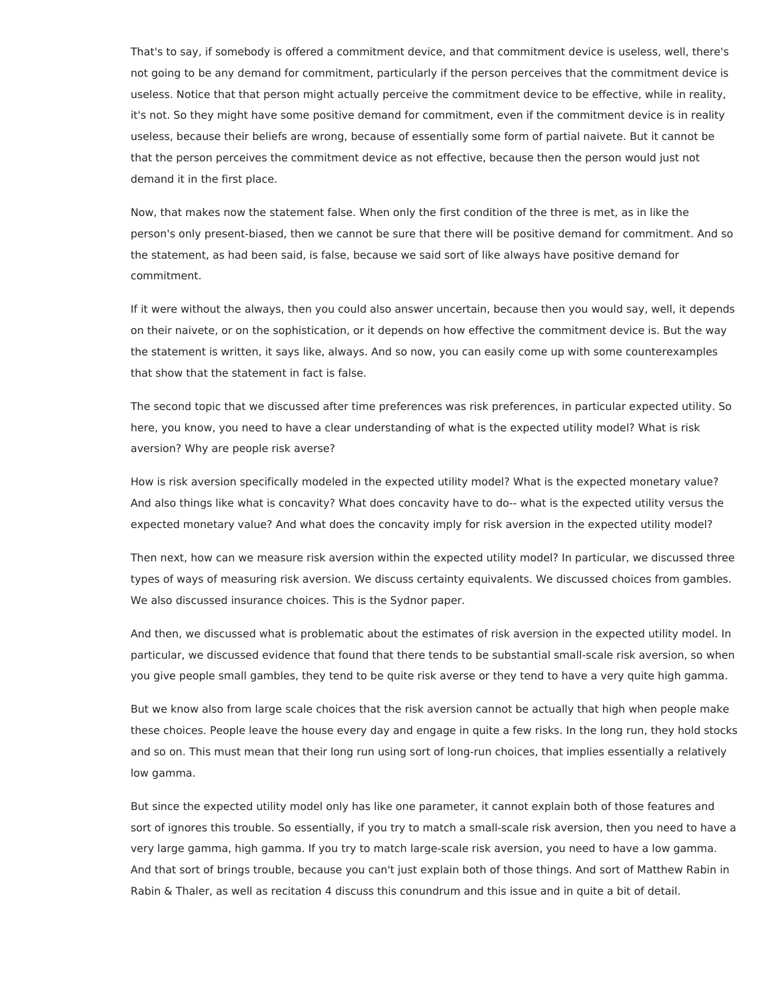That's to say, if somebody is offered a commitment device, and that commitment device is useless, well, there's not going to be any demand for commitment, particularly if the person perceives that the commitment device is useless. Notice that that person might actually perceive the commitment device to be effective, while in reality, it's not. So they might have some positive demand for commitment, even if the commitment device is in reality useless, because their beliefs are wrong, because of essentially some form of partial naivete. But it cannot be that the person perceives the commitment device as not effective, because then the person would just not demand it in the first place.

Now, that makes now the statement false. When only the first condition of the three is met, as in like the person's only present-biased, then we cannot be sure that there will be positive demand for commitment. And so the statement, as had been said, is false, because we said sort of like always have positive demand for commitment.

If it were without the always, then you could also answer uncertain, because then you would say, well, it depends on their naivete, or on the sophistication, or it depends on how effective the commitment device is. But the way the statement is written, it says like, always. And so now, you can easily come up with some counterexamples that show that the statement in fact is false.

The second topic that we discussed after time preferences was risk preferences, in particular expected utility. So here, you know, you need to have a clear understanding of what is the expected utility model? What is risk aversion? Why are people risk averse?

How is risk aversion specifically modeled in the expected utility model? What is the expected monetary value? And also things like what is concavity? What does concavity have to do-- what is the expected utility versus the expected monetary value? And what does the concavity imply for risk aversion in the expected utility model?

Then next, how can we measure risk aversion within the expected utility model? In particular, we discussed three types of ways of measuring risk aversion. We discuss certainty equivalents. We discussed choices from gambles. We also discussed insurance choices. This is the Sydnor paper.

And then, we discussed what is problematic about the estimates of risk aversion in the expected utility model. In particular, we discussed evidence that found that there tends to be substantial small-scale risk aversion, so when you give people small gambles, they tend to be quite risk averse or they tend to have a very quite high gamma.

But we know also from large scale choices that the risk aversion cannot be actually that high when people make these choices. People leave the house every day and engage in quite a few risks. In the long run, they hold stocks and so on. This must mean that their long run using sort of long-run choices, that implies essentially a relatively low gamma.

But since the expected utility model only has like one parameter, it cannot explain both of those features and sort of ignores this trouble. So essentially, if you try to match a small-scale risk aversion, then you need to have a very large gamma, high gamma. If you try to match large-scale risk aversion, you need to have a low gamma. And that sort of brings trouble, because you can't just explain both of those things. And sort of Matthew Rabin in Rabin & Thaler, as well as recitation 4 discuss this conundrum and this issue and in quite a bit of detail.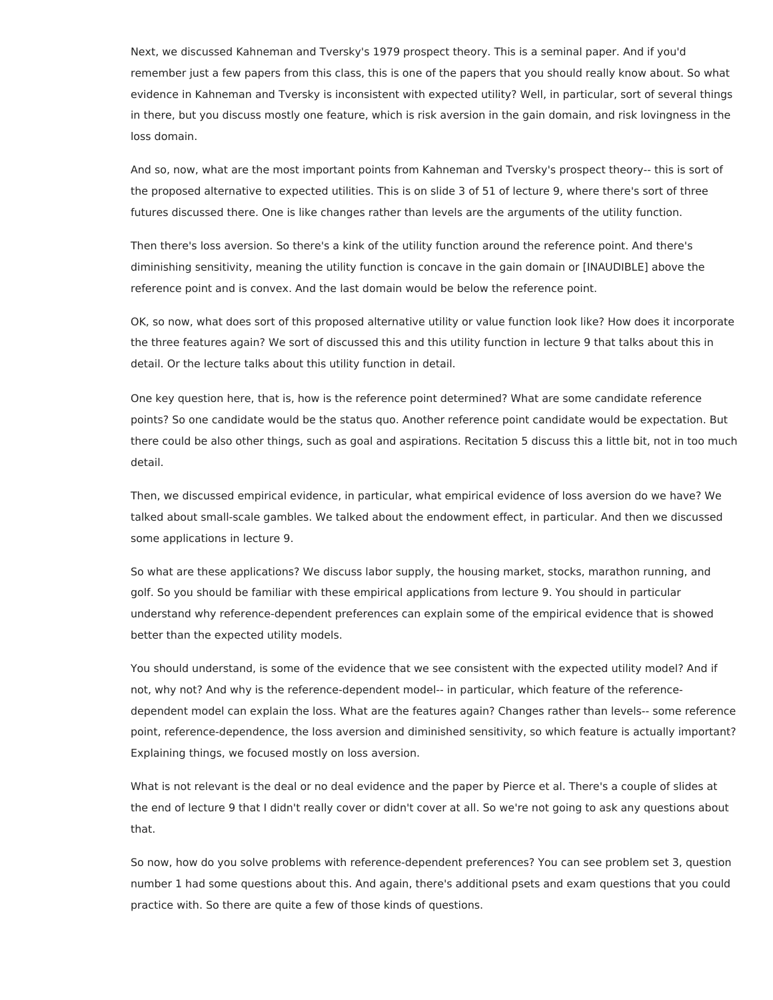Next, we discussed Kahneman and Tversky's 1979 prospect theory. This is a seminal paper. And if you'd remember just a few papers from this class, this is one of the papers that you should really know about. So what evidence in Kahneman and Tversky is inconsistent with expected utility? Well, in particular, sort of several things in there, but you discuss mostly one feature, which is risk aversion in the gain domain, and risk lovingness in the loss domain.

And so, now, what are the most important points from Kahneman and Tversky's prospect theory-- this is sort of the proposed alternative to expected utilities. This is on slide 3 of 51 of lecture 9, where there's sort of three futures discussed there. One is like changes rather than levels are the arguments of the utility function.

Then there's loss aversion. So there's a kink of the utility function around the reference point. And there's diminishing sensitivity, meaning the utility function is concave in the gain domain or [INAUDIBLE] above the reference point and is convex. And the last domain would be below the reference point.

OK, so now, what does sort of this proposed alternative utility or value function look like? How does it incorporate the three features again? We sort of discussed this and this utility function in lecture 9 that talks about this in detail. Or the lecture talks about this utility function in detail.

One key question here, that is, how is the reference point determined? What are some candidate reference points? So one candidate would be the status quo. Another reference point candidate would be expectation. But there could be also other things, such as goal and aspirations. Recitation 5 discuss this a little bit, not in too much detail.

Then, we discussed empirical evidence, in particular, what empirical evidence of loss aversion do we have? We talked about small-scale gambles. We talked about the endowment effect, in particular. And then we discussed some applications in lecture 9.

So what are these applications? We discuss labor supply, the housing market, stocks, marathon running, and golf. So you should be familiar with these empirical applications from lecture 9. You should in particular understand why reference-dependent preferences can explain some of the empirical evidence that is showed better than the expected utility models.

You should understand, is some of the evidence that we see consistent with the expected utility model? And if not, why not? And why is the reference-dependent model-- in particular, which feature of the referencedependent model can explain the loss. What are the features again? Changes rather than levels-- some reference point, reference-dependence, the loss aversion and diminished sensitivity, so which feature is actually important? Explaining things, we focused mostly on loss aversion.

What is not relevant is the deal or no deal evidence and the paper by Pierce et al. There's a couple of slides at the end of lecture 9 that I didn't really cover or didn't cover at all. So we're not going to ask any questions about that.

So now, how do you solve problems with reference-dependent preferences? You can see problem set 3, question number 1 had some questions about this. And again, there's additional psets and exam questions that you could practice with. So there are quite a few of those kinds of questions.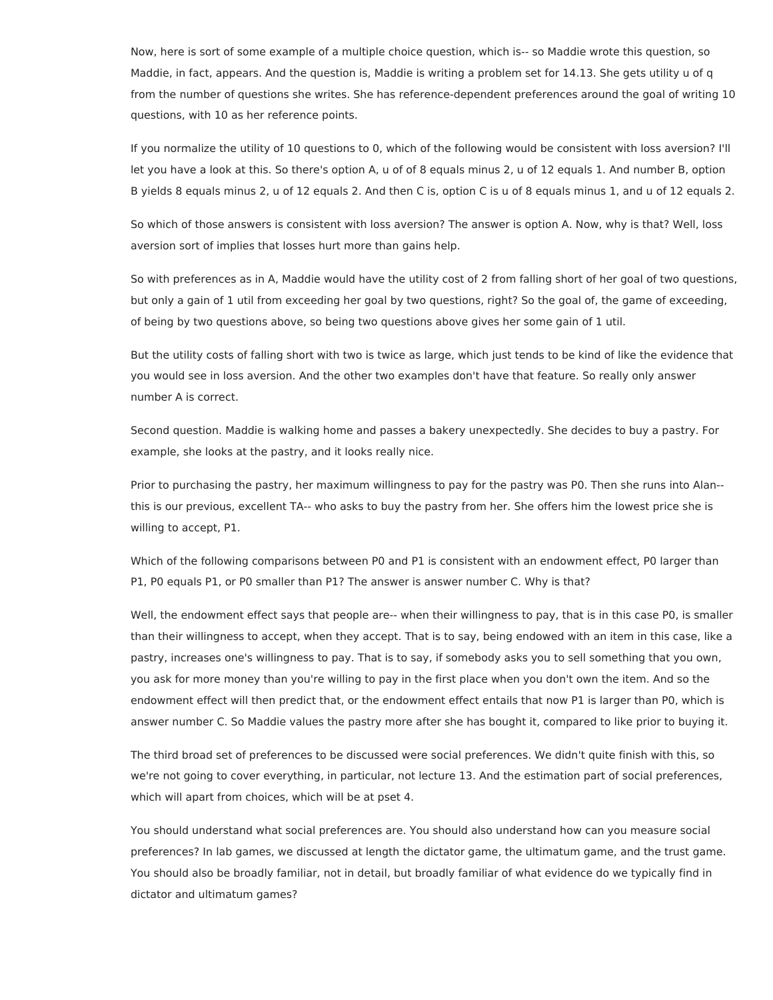Now, here is sort of some example of a multiple choice question, which is-- so Maddie wrote this question, so Maddie, in fact, appears. And the question is, Maddie is writing a problem set for 14.13. She gets utility u of q from the number of questions she writes. She has reference-dependent preferences around the goal of writing 10 questions, with 10 as her reference points.

If you normalize the utility of 10 questions to 0, which of the following would be consistent with loss aversion? I'll let you have a look at this. So there's option A, u of of 8 equals minus 2, u of 12 equals 1. And number B, option B yields 8 equals minus 2, u of 12 equals 2. And then C is, option C is u of 8 equals minus 1, and u of 12 equals 2.

So which of those answers is consistent with loss aversion? The answer is option A. Now, why is that? Well, loss aversion sort of implies that losses hurt more than gains help.

So with preferences as in A, Maddie would have the utility cost of 2 from falling short of her goal of two questions, but only a gain of 1 util from exceeding her goal by two questions, right? So the goal of, the game of exceeding, of being by two questions above, so being two questions above gives her some gain of 1 util.

But the utility costs of falling short with two is twice as large, which just tends to be kind of like the evidence that you would see in loss aversion. And the other two examples don't have that feature. So really only answer number A is correct.

Second question. Maddie is walking home and passes a bakery unexpectedly. She decides to buy a pastry. For example, she looks at the pastry, and it looks really nice.

Prior to purchasing the pastry, her maximum willingness to pay for the pastry was P0. Then she runs into Alan- this is our previous, excellent TA-- who asks to buy the pastry from her. She offers him the lowest price she is willing to accept, P1.

Which of the following comparisons between P0 and P1 is consistent with an endowment effect, P0 larger than P1, P0 equals P1, or P0 smaller than P1? The answer is answer number C. Why is that?

Well, the endowment effect says that people are-- when their willingness to pay, that is in this case P0, is smaller than their willingness to accept, when they accept. That is to say, being endowed with an item in this case, like a pastry, increases one's willingness to pay. That is to say, if somebody asks you to sell something that you own, you ask for more money than you're willing to pay in the first place when you don't own the item. And so the endowment effect will then predict that, or the endowment effect entails that now P1 is larger than P0, which is answer number C. So Maddie values the pastry more after she has bought it, compared to like prior to buying it.

The third broad set of preferences to be discussed were social preferences. We didn't quite finish with this, so we're not going to cover everything, in particular, not lecture 13. And the estimation part of social preferences, which will apart from choices, which will be at pset 4.

You should understand what social preferences are. You should also understand how can you measure social preferences? In lab games, we discussed at length the dictator game, the ultimatum game, and the trust game. You should also be broadly familiar, not in detail, but broadly familiar of what evidence do we typically find in dictator and ultimatum games?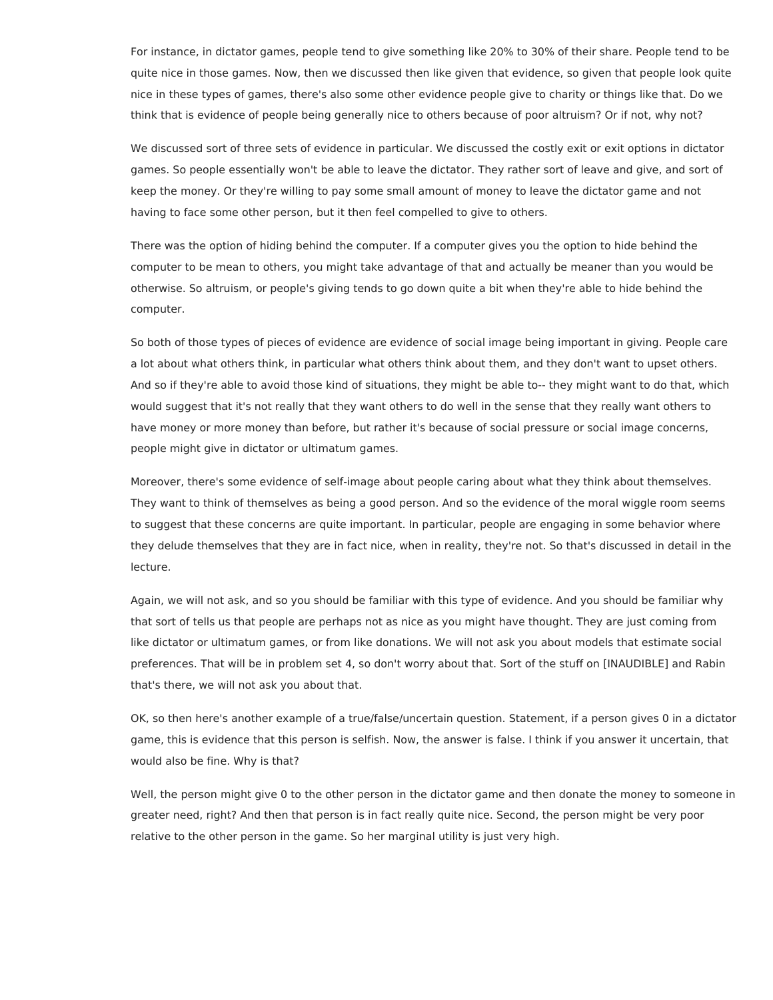For instance, in dictator games, people tend to give something like 20% to 30% of their share. People tend to be quite nice in those games. Now, then we discussed then like given that evidence, so given that people look quite nice in these types of games, there's also some other evidence people give to charity or things like that. Do we think that is evidence of people being generally nice to others because of poor altruism? Or if not, why not?

We discussed sort of three sets of evidence in particular. We discussed the costly exit or exit options in dictator games. So people essentially won't be able to leave the dictator. They rather sort of leave and give, and sort of keep the money. Or they're willing to pay some small amount of money to leave the dictator game and not having to face some other person, but it then feel compelled to give to others.

There was the option of hiding behind the computer. If a computer gives you the option to hide behind the computer to be mean to others, you might take advantage of that and actually be meaner than you would be otherwise. So altruism, or people's giving tends to go down quite a bit when they're able to hide behind the computer.

So both of those types of pieces of evidence are evidence of social image being important in giving. People care a lot about what others think, in particular what others think about them, and they don't want to upset others. And so if they're able to avoid those kind of situations, they might be able to-- they might want to do that, which would suggest that it's not really that they want others to do well in the sense that they really want others to have money or more money than before, but rather it's because of social pressure or social image concerns, people might give in dictator or ultimatum games.

Moreover, there's some evidence of self-image about people caring about what they think about themselves. They want to think of themselves as being a good person. And so the evidence of the moral wiggle room seems to suggest that these concerns are quite important. In particular, people are engaging in some behavior where they delude themselves that they are in fact nice, when in reality, they're not. So that's discussed in detail in the lecture.

Again, we will not ask, and so you should be familiar with this type of evidence. And you should be familiar why that sort of tells us that people are perhaps not as nice as you might have thought. They are just coming from like dictator or ultimatum games, or from like donations. We will not ask you about models that estimate social preferences. That will be in problem set 4, so don't worry about that. Sort of the stuff on [INAUDIBLE] and Rabin that's there, we will not ask you about that.

OK, so then here's another example of a true/false/uncertain question. Statement, if a person gives 0 in a dictator game, this is evidence that this person is selfish. Now, the answer is false. I think if you answer it uncertain, that would also be fine. Why is that?

Well, the person might give 0 to the other person in the dictator game and then donate the money to someone in greater need, right? And then that person is in fact really quite nice. Second, the person might be very poor relative to the other person in the game. So her marginal utility is just very high.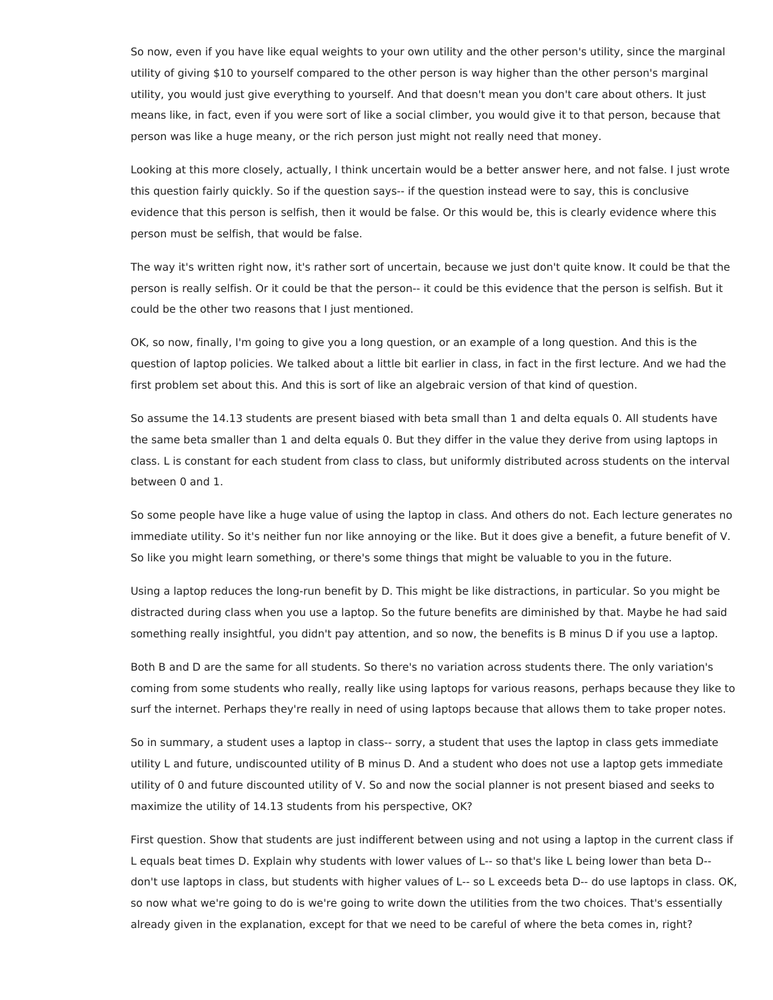So now, even if you have like equal weights to your own utility and the other person's utility, since the marginal utility of giving \$10 to yourself compared to the other person is way higher than the other person's marginal utility, you would just give everything to yourself. And that doesn't mean you don't care about others. It just means like, in fact, even if you were sort of like a social climber, you would give it to that person, because that person was like a huge meany, or the rich person just might not really need that money.

Looking at this more closely, actually, I think uncertain would be a better answer here, and not false. I just wrote this question fairly quickly. So if the question says-- if the question instead were to say, this is conclusive evidence that this person is selfish, then it would be false. Or this would be, this is clearly evidence where this person must be selfish, that would be false.

The way it's written right now, it's rather sort of uncertain, because we just don't quite know. It could be that the person is really selfish. Or it could be that the person-- it could be this evidence that the person is selfish. But it could be the other two reasons that I just mentioned.

OK, so now, finally, I'm going to give you a long question, or an example of a long question. And this is the question of laptop policies. We talked about a little bit earlier in class, in fact in the first lecture. And we had the first problem set about this. And this is sort of like an algebraic version of that kind of question.

So assume the 14.13 students are present biased with beta small than 1 and delta equals 0. All students have the same beta smaller than 1 and delta equals 0. But they differ in the value they derive from using laptops in class. L is constant for each student from class to class, but uniformly distributed across students on the interval between 0 and 1.

So some people have like a huge value of using the laptop in class. And others do not. Each lecture generates no immediate utility. So it's neither fun nor like annoying or the like. But it does give a benefit, a future benefit of V. So like you might learn something, or there's some things that might be valuable to you in the future.

Using a laptop reduces the long-run benefit by D. This might be like distractions, in particular. So you might be distracted during class when you use a laptop. So the future benefits are diminished by that. Maybe he had said something really insightful, you didn't pay attention, and so now, the benefits is B minus D if you use a laptop.

Both B and D are the same for all students. So there's no variation across students there. The only variation's coming from some students who really, really like using laptops for various reasons, perhaps because they like to surf the internet. Perhaps they're really in need of using laptops because that allows them to take proper notes.

So in summary, a student uses a laptop in class-- sorry, a student that uses the laptop in class gets immediate utility L and future, undiscounted utility of B minus D. And a student who does not use a laptop gets immediate utility of 0 and future discounted utility of V. So and now the social planner is not present biased and seeks to maximize the utility of 14.13 students from his perspective, OK?

First question. Show that students are just indifferent between using and not using a laptop in the current class if L equals beat times D. Explain why students with lower values of L-- so that's like L being lower than beta D- don't use laptops in class, but students with higher values of L-- so L exceeds beta D-- do use laptops in class. OK, so now what we're going to do is we're going to write down the utilities from the two choices. That's essentially already given in the explanation, except for that we need to be careful of where the beta comes in, right?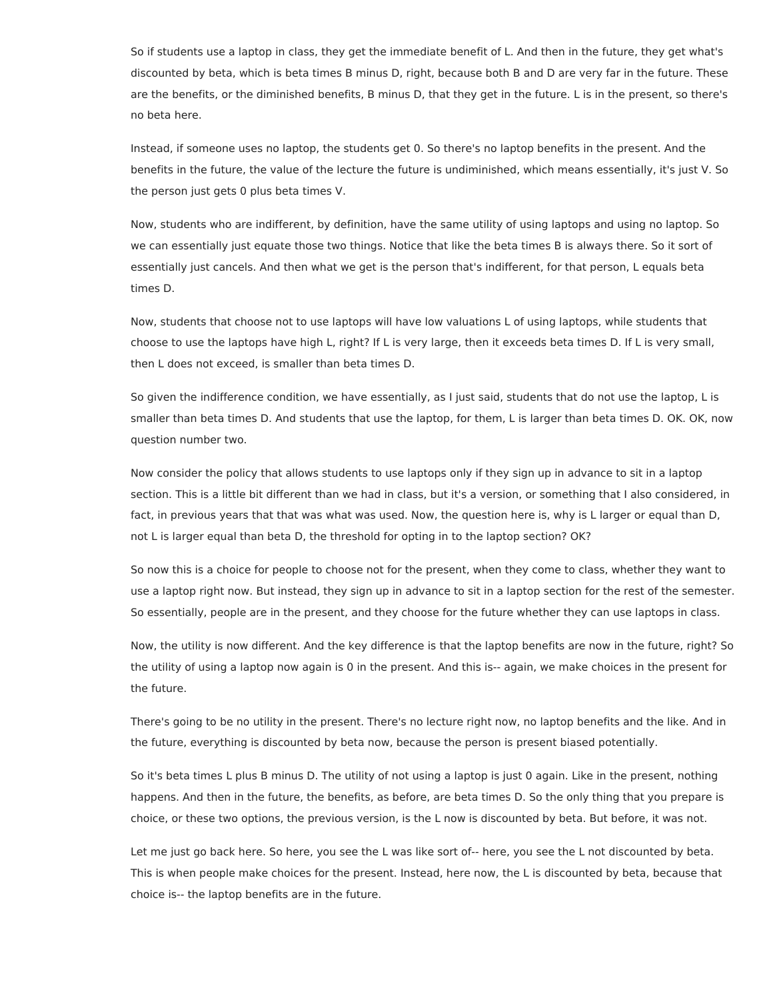So if students use a laptop in class, they get the immediate benefit of L. And then in the future, they get what's discounted by beta, which is beta times B minus D, right, because both B and D are very far in the future. These are the benefits, or the diminished benefits, B minus D, that they get in the future. L is in the present, so there's no beta here.

Instead, if someone uses no laptop, the students get 0. So there's no laptop benefits in the present. And the benefits in the future, the value of the lecture the future is undiminished, which means essentially, it's just V. So the person just gets 0 plus beta times V.

Now, students who are indifferent, by definition, have the same utility of using laptops and using no laptop. So we can essentially just equate those two things. Notice that like the beta times B is always there. So it sort of essentially just cancels. And then what we get is the person that's indifferent, for that person, L equals beta times D.

Now, students that choose not to use laptops will have low valuations L of using laptops, while students that choose to use the laptops have high L, right? If L is very large, then it exceeds beta times D. If L is very small, then L does not exceed, is smaller than beta times D.

So given the indifference condition, we have essentially, as I just said, students that do not use the laptop, L is smaller than beta times D. And students that use the laptop, for them, L is larger than beta times D. OK. OK, now question number two.

Now consider the policy that allows students to use laptops only if they sign up in advance to sit in a laptop section. This is a little bit different than we had in class, but it's a version, or something that I also considered, in fact, in previous years that that was what was used. Now, the question here is, why is L larger or equal than D, not L is larger equal than beta D, the threshold for opting in to the laptop section? OK?

So now this is a choice for people to choose not for the present, when they come to class, whether they want to use a laptop right now. But instead, they sign up in advance to sit in a laptop section for the rest of the semester. So essentially, people are in the present, and they choose for the future whether they can use laptops in class.

Now, the utility is now different. And the key difference is that the laptop benefits are now in the future, right? So the utility of using a laptop now again is 0 in the present. And this is-- again, we make choices in the present for the future.

There's going to be no utility in the present. There's no lecture right now, no laptop benefits and the like. And in the future, everything is discounted by beta now, because the person is present biased potentially.

So it's beta times L plus B minus D. The utility of not using a laptop is just 0 again. Like in the present, nothing happens. And then in the future, the benefits, as before, are beta times D. So the only thing that you prepare is choice, or these two options, the previous version, is the L now is discounted by beta. But before, it was not.

Let me just go back here. So here, you see the L was like sort of-- here, you see the L not discounted by beta. This is when people make choices for the present. Instead, here now, the L is discounted by beta, because that choice is-- the laptop benefits are in the future.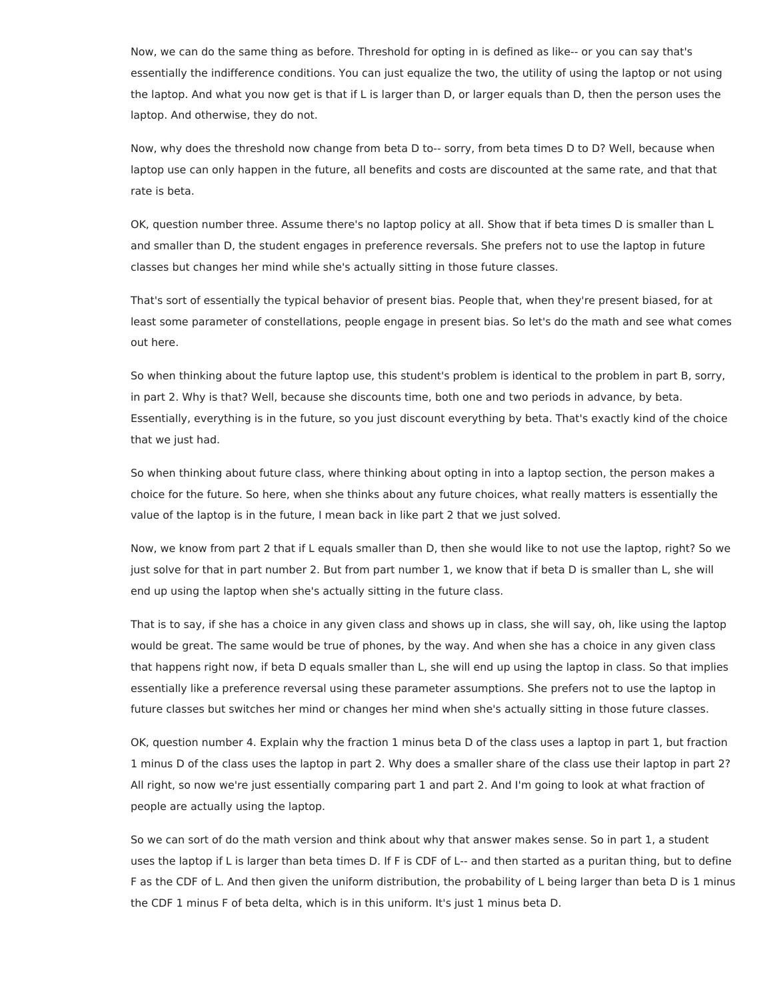Now, we can do the same thing as before. Threshold for opting in is defined as like-- or you can say that's essentially the indifference conditions. You can just equalize the two, the utility of using the laptop or not using the laptop. And what you now get is that if L is larger than D, or larger equals than D, then the person uses the laptop. And otherwise, they do not.

Now, why does the threshold now change from beta D to-- sorry, from beta times D to D? Well, because when laptop use can only happen in the future, all benefits and costs are discounted at the same rate, and that that rate is beta.

OK, question number three. Assume there's no laptop policy at all. Show that if beta times D is smaller than L and smaller than D, the student engages in preference reversals. She prefers not to use the laptop in future classes but changes her mind while she's actually sitting in those future classes.

That's sort of essentially the typical behavior of present bias. People that, when they're present biased, for at least some parameter of constellations, people engage in present bias. So let's do the math and see what comes out here.

So when thinking about the future laptop use, this student's problem is identical to the problem in part B, sorry, in part 2. Why is that? Well, because she discounts time, both one and two periods in advance, by beta. Essentially, everything is in the future, so you just discount everything by beta. That's exactly kind of the choice that we just had.

So when thinking about future class, where thinking about opting in into a laptop section, the person makes a choice for the future. So here, when she thinks about any future choices, what really matters is essentially the value of the laptop is in the future, I mean back in like part 2 that we just solved.

Now, we know from part 2 that if L equals smaller than D, then she would like to not use the laptop, right? So we just solve for that in part number 2. But from part number 1, we know that if beta D is smaller than L, she will end up using the laptop when she's actually sitting in the future class.

That is to say, if she has a choice in any given class and shows up in class, she will say, oh, like using the laptop would be great. The same would be true of phones, by the way. And when she has a choice in any given class that happens right now, if beta D equals smaller than L, she will end up using the laptop in class. So that implies essentially like a preference reversal using these parameter assumptions. She prefers not to use the laptop in future classes but switches her mind or changes her mind when she's actually sitting in those future classes.

OK, question number 4. Explain why the fraction 1 minus beta D of the class uses a laptop in part 1, but fraction 1 minus D of the class uses the laptop in part 2. Why does a smaller share of the class use their laptop in part 2? All right, so now we're just essentially comparing part 1 and part 2. And I'm going to look at what fraction of people are actually using the laptop.

So we can sort of do the math version and think about why that answer makes sense. So in part 1, a student uses the laptop if L is larger than beta times D. If F is CDF of L-- and then started as a puritan thing, but to define F as the CDF of L. And then given the uniform distribution, the probability of L being larger than beta D is 1 minus the CDF 1 minus F of beta delta, which is in this uniform. It's just 1 minus beta D.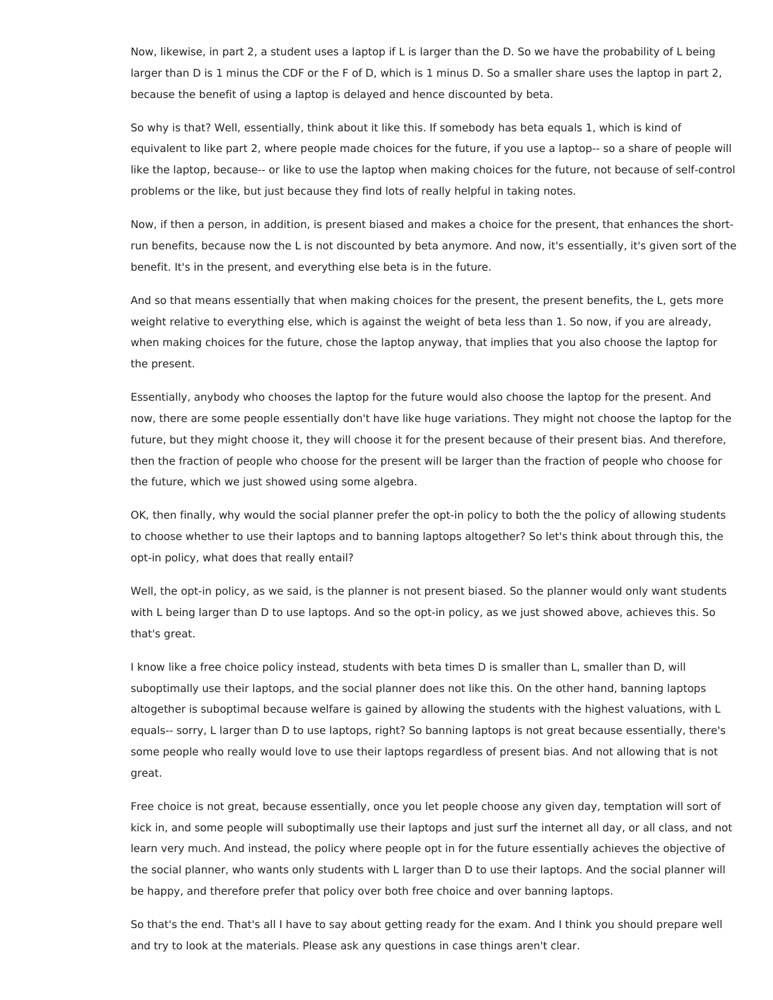Now, likewise, in part 2, a student uses a laptop if L is larger than the D. So we have the probability of L being larger than D is 1 minus the CDF or the F of D, which is 1 minus D. So a smaller share uses the laptop in part 2, because the benefit of using a laptop is delayed and hence discounted by beta.

So why is that? Well, essentially, think about it like this. If somebody has beta equals 1, which is kind of equivalent to like part 2, where people made choices for the future, if you use a laptop-- so a share of people will like the laptop, because-- or like to use the laptop when making choices for the future, not because of self-control problems or the like, but just because they find lots of really helpful in taking notes.

Now, if then a person, in addition, is present biased and makes a choice for the present, that enhances the shortrun benefits, because now the L is not discounted by beta anymore. And now, it's essentially, it's given sort of the benefit. It's in the present, and everything else beta is in the future.

And so that means essentially that when making choices for the present, the present benefits, the L, gets more weight relative to everything else, which is against the weight of beta less than 1. So now, if you are already, when making choices for the future, chose the laptop anyway, that implies that you also choose the laptop for the present.

Essentially, anybody who chooses the laptop for the future would also choose the laptop for the present. And now, there are some people essentially don't have like huge variations. They might not choose the laptop for the future, but they might choose it, they will choose it for the present because of their present bias. And therefore, then the fraction of people who choose for the present will be larger than the fraction of people who choose for the future, which we just showed using some algebra.

OK, then finally, why would the social planner prefer the opt-in policy to both the the policy of allowing students to choose whether to use their laptops and to banning laptops altogether? So let's think about through this, the opt-in policy, what does that really entail?

Well, the opt-in policy, as we said, is the planner is not present biased. So the planner would only want students with L being larger than D to use laptops. And so the opt-in policy, as we just showed above, achieves this. So that's great.

I know like a free choice policy instead, students with beta times D is smaller than L, smaller than D, will suboptimally use their laptops, and the social planner does not like this. On the other hand, banning laptops altogether is suboptimal because welfare is gained by allowing the students with the highest valuations, with L equals-- sorry, L larger than D to use laptops, right? So banning laptops is not great because essentially, there's some people who really would love to use their laptops regardless of present bias. And not allowing that is not great.

Free choice is not great, because essentially, once you let people choose any given day, temptation will sort of kick in, and some people will suboptimally use their laptops and just surf the internet all day, or all class, and not learn very much. And instead, the policy where people opt in for the future essentially achieves the objective of the social planner, who wants only students with L larger than D to use their laptops. And the social planner will be happy, and therefore prefer that policy over both free choice and over banning laptops.

So that's the end. That's all I have to say about getting ready for the exam. And I think you should prepare well and try to look at the materials. Please ask any questions in case things aren't clear.